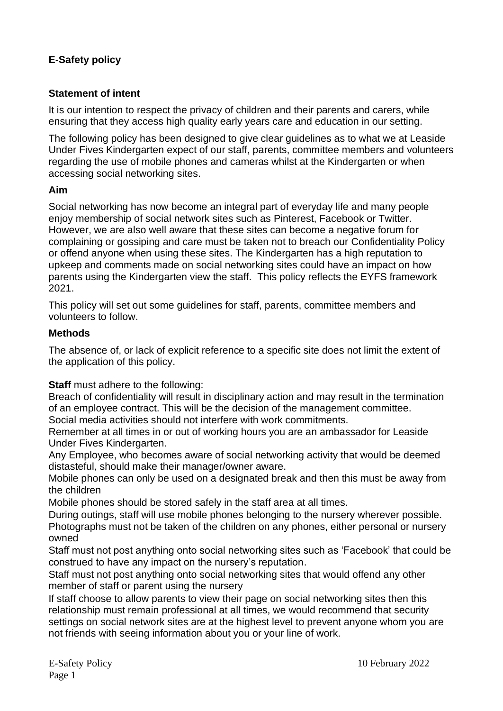# **E-Safety policy**

## **Statement of intent**

It is our intention to respect the privacy of children and their parents and carers, while ensuring that they access high quality early years care and education in our setting.

The following policy has been designed to give clear guidelines as to what we at Leaside Under Fives Kindergarten expect of our staff, parents, committee members and volunteers regarding the use of mobile phones and cameras whilst at the Kindergarten or when accessing social networking sites.

#### **Aim**

Social networking has now become an integral part of everyday life and many people enjoy membership of social network sites such as Pinterest, Facebook or Twitter. However, we are also well aware that these sites can become a negative forum for complaining or gossiping and care must be taken not to breach our Confidentiality Policy or offend anyone when using these sites. The Kindergarten has a high reputation to upkeep and comments made on social networking sites could have an impact on how parents using the Kindergarten view the staff. This policy reflects the EYFS framework 2021.

This policy will set out some guidelines for staff, parents, committee members and volunteers to follow.

#### **Methods**

The absence of, or lack of explicit reference to a specific site does not limit the extent of the application of this policy.

**Staff** must adhere to the following:

Breach of confidentiality will result in disciplinary action and may result in the termination of an employee contract. This will be the decision of the management committee.

Social media activities should not interfere with work commitments.

Remember at all times in or out of working hours you are an ambassador for Leaside Under Fives Kindergarten.

Any Employee, who becomes aware of social networking activity that would be deemed distasteful, should make their manager/owner aware.

Mobile phones can only be used on a designated break and then this must be away from the children

Mobile phones should be stored safely in the staff area at all times.

During outings, staff will use mobile phones belonging to the nursery wherever possible. Photographs must not be taken of the children on any phones, either personal or nursery owned

Staff must not post anything onto social networking sites such as 'Facebook' that could be construed to have any impact on the nursery's reputation.

Staff must not post anything onto social networking sites that would offend any other member of staff or parent using the nursery

If staff choose to allow parents to view their page on social networking sites then this relationship must remain professional at all times, we would recommend that security settings on social network sites are at the highest level to prevent anyone whom you are not friends with seeing information about you or your line of work.